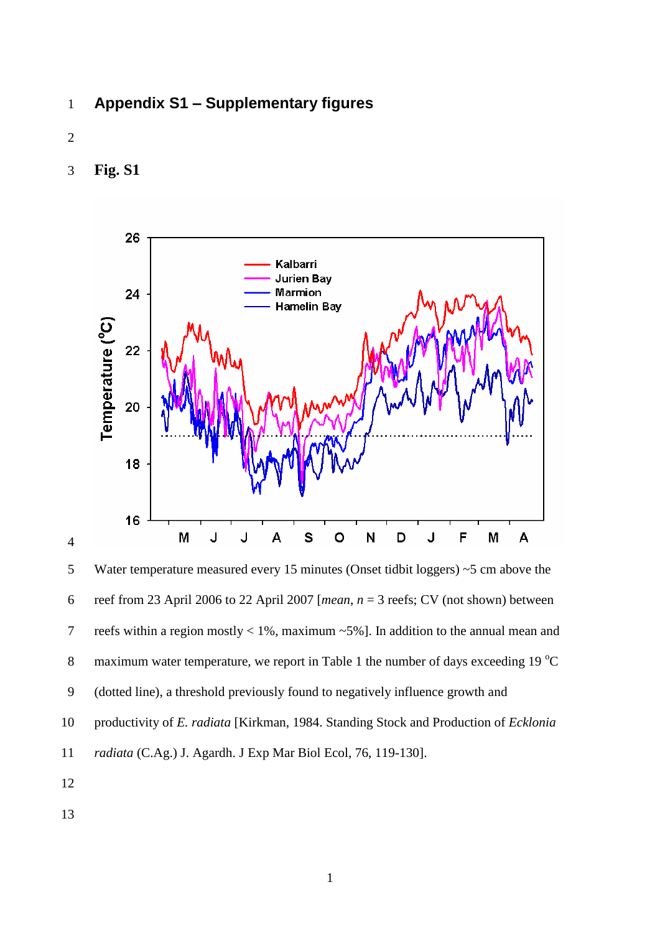- **Appendix S1 – Supplementary figures**
- 
- **Fig. S1**



 Water temperature measured every 15 minutes (Onset tidbit loggers) ~5 cm above the 6 reef from 23 April 2006 to 22 April 2007 [*mean*,  $n = 3$  reefs; CV (not shown) between reefs within a region mostly < 1%, maximum ~5%]. In addition to the annual mean and 8 maximum water temperature, we report in Table 1 the number of days exceeding 19  $^{\circ}$ C (dotted line), a threshold previously found to negatively influence growth and productivity of *E. radiata* [Kirkman, 1984. Standing Stock and Production of *Ecklonia* 

- *radiata* (C.Ag.) J. Agardh. J Exp Mar Biol Ecol, 76, 119-130].
- 
-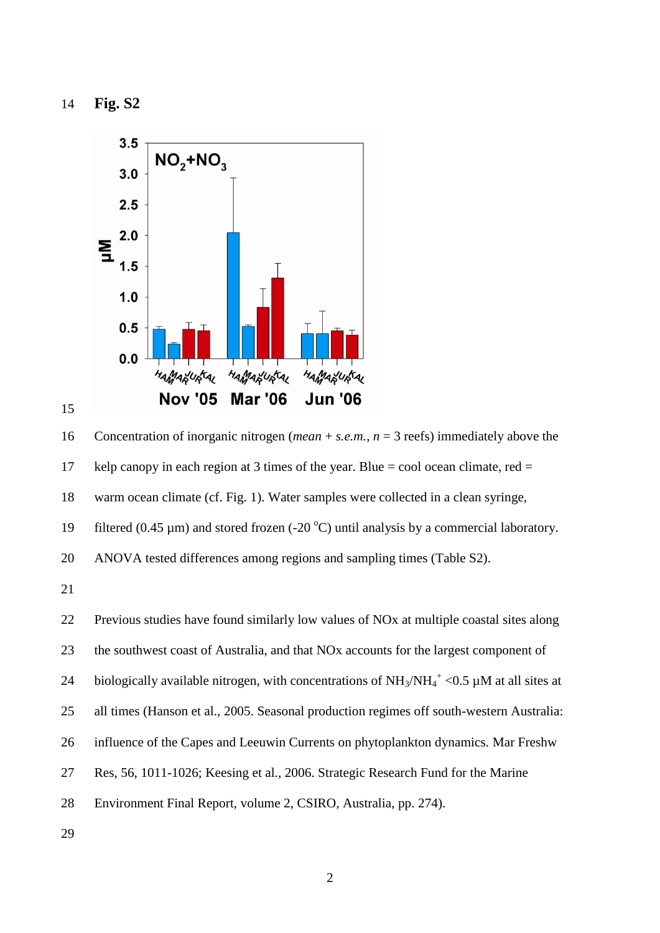**Fig. S2**



 Concentration of inorganic nitrogen (*mean* + *s.e.m.*, *n* = 3 reefs) immediately above the 17 kelp canopy in each region at 3 times of the year. Blue = cool ocean climate, red = warm ocean climate (cf. Fig. 1). Water samples were collected in a clean syringe, 19 filtered (0.45  $\mu$ m) and stored frozen (-20 °C) until analysis by a commercial laboratory. ANOVA tested differences among regions and sampling times (Table S2).

 Previous studies have found similarly low values of NOx at multiple coastal sites along the southwest coast of Australia, and that NOx accounts for the largest component of 24 biologically available nitrogen, with concentrations of  $NH_3/NH_4^+$  < 0.5 µM at all sites at all times (Hanson et al., 2005. Seasonal production regimes off south-western Australia: influence of the Capes and Leeuwin Currents on phytoplankton dynamics. Mar Freshw Res, 56, 1011-1026; Keesing et al., 2006. Strategic Research Fund for the Marine Environment Final Report, volume 2, CSIRO, Australia, pp. 274).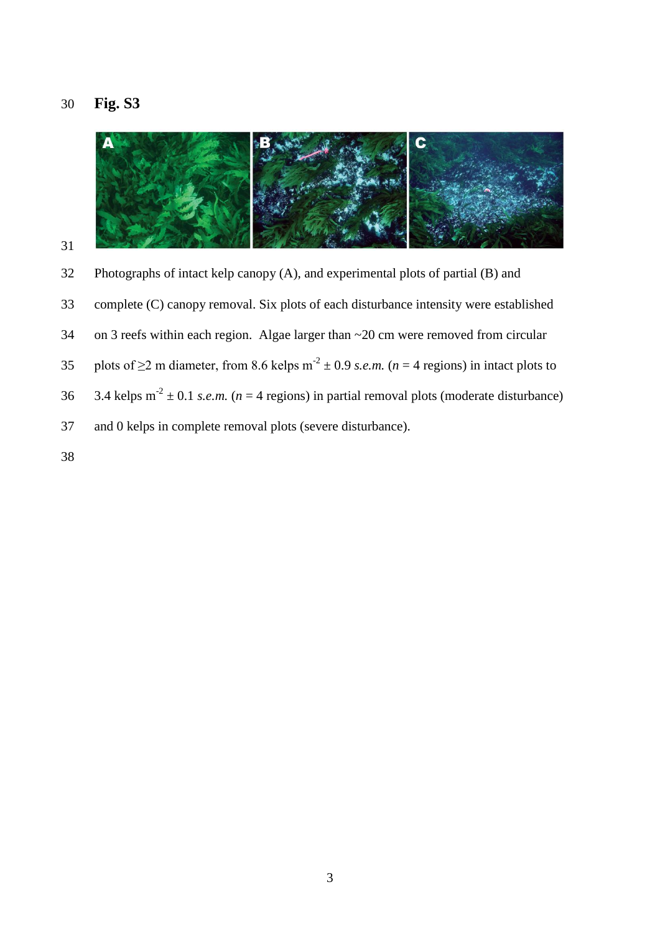# **Fig. S3**



 Photographs of intact kelp canopy (A), and experimental plots of partial (B) and complete (C) canopy removal. Six plots of each disturbance intensity were established on 3 reefs within each region. Algae larger than ~20 cm were removed from circular 35 plots of  $\geq$  2 m diameter, from 8.6 kelps m<sup>-2</sup>  $\pm$  0.9 *s.e.m.* (*n* = 4 regions) in intact plots to 36  $3.4 \text{ kelps m}^2 \pm 0.1 \text{ s.e.m.}$  ( $n = 4 \text{ regions}$ ) in partial removal plots (moderate disturbance) and 0 kelps in complete removal plots (severe disturbance).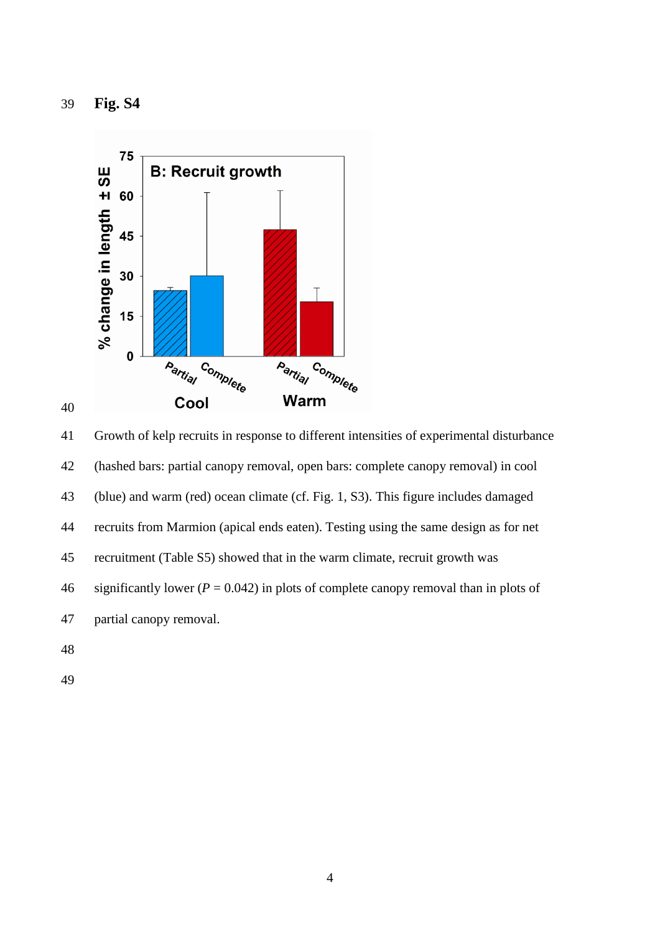**Fig. S4**



 Growth of kelp recruits in response to different intensities of experimental disturbance (hashed bars: partial canopy removal, open bars: complete canopy removal) in cool (blue) and warm (red) ocean climate (cf. Fig. 1, S3). This figure includes damaged recruits from Marmion (apical ends eaten). Testing using the same design as for net recruitment (Table S5) showed that in the warm climate, recruit growth was 46 significantly lower  $(P = 0.042)$  in plots of complete canopy removal than in plots of partial canopy removal.

- 
-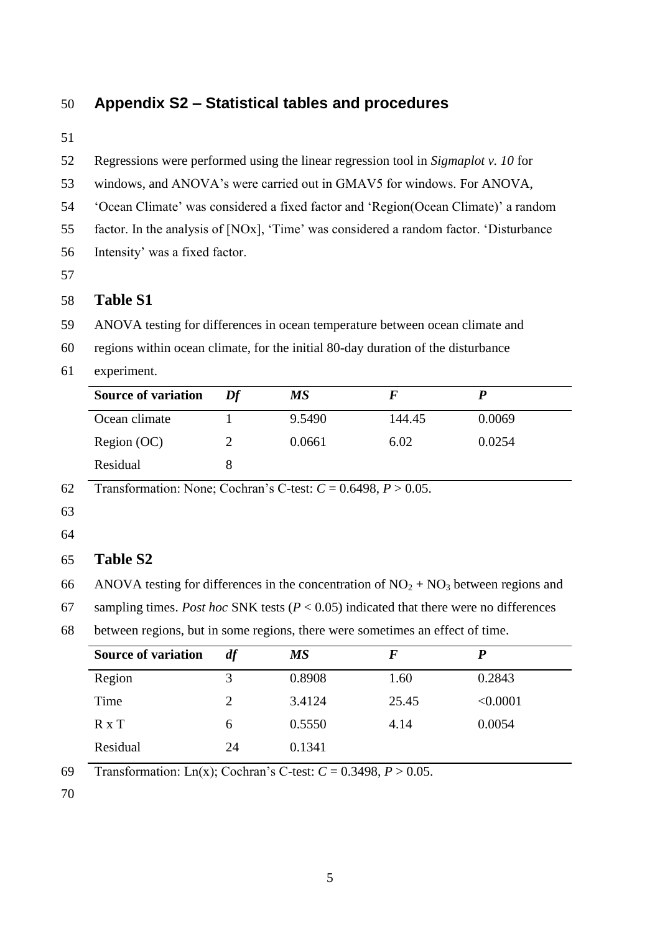# **Appendix S2 – Statistical tables and procedures**

Regressions were performed using the linear regression tool in *Sigmaplot v. 10* for

- windows, and ANOVA's were carried out in GMAV5 for windows. For ANOVA,
- 'Ocean Climate' was considered a fixed factor and 'Region(Ocean Climate)' a random
- factor. In the analysis of [NOx], 'Time' was considered a random factor. 'Disturbance
- Intensity' was a fixed factor.

## **Table S1**

- ANOVA testing for differences in ocean temperature between ocean climate and
- regions within ocean climate, for the initial 80-day duration of the disturbance
- experiment.

| <b>Source of variation</b> | Df | MS     |        |        |
|----------------------------|----|--------|--------|--------|
| Ocean climate              |    | 9.5490 | 144.45 | 0.0069 |
| Region (OC)                |    | 0.0661 | 6.02   | 0.0254 |
| Residual                   |    |        |        |        |

Transformation: None; Cochran's C-test: *C* = 0.6498, *P* > 0.05.

#### 

#### **Table S2**

66 ANOVA testing for differences in the concentration of  $NO<sub>2</sub> + NO<sub>3</sub>$  between regions and

sampling times. *Post hoc* SNK tests (*P* < 0.05) indicated that there were no differences

between regions, but in some regions, there were sometimes an effect of time.

| <b>Source of variation</b> | df | <b>MS</b> | F     |          |
|----------------------------|----|-----------|-------|----------|
| Region                     | 3  | 0.8908    | 1.60  | 0.2843   |
| Time                       | 2  | 3.4124    | 25.45 | < 0.0001 |
| $R \times T$               | 6  | 0.5550    | 4.14  | 0.0054   |
| Residual                   | 24 | 0.1341    |       |          |

Transformation: Ln(x); Cochran's C-test: *C* = 0.3498, *P* > 0.05.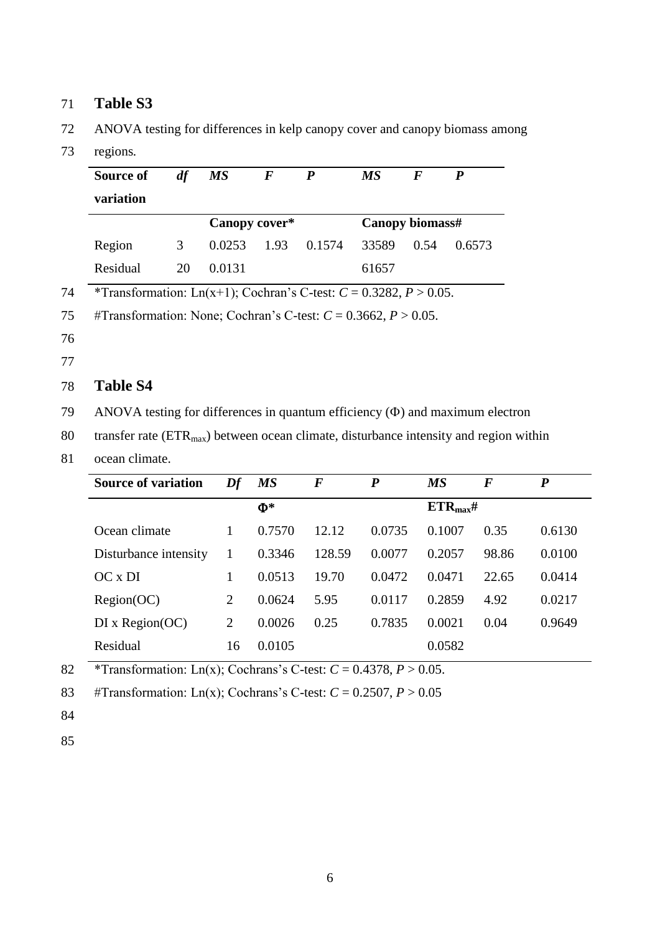# 71 **Table S3**

72 ANOVA testing for differences in kelp canopy cover and canopy biomass among

73 regions*.*

|    | df<br>Source of                                                                         | <b>MS</b>                       | $\boldsymbol{F}$ | $\boldsymbol{P}$ | <b>MS</b>        | $\boldsymbol{F}$<br>$\boldsymbol{P}$ |                  |                  |
|----|-----------------------------------------------------------------------------------------|---------------------------------|------------------|------------------|------------------|--------------------------------------|------------------|------------------|
|    | variation                                                                               |                                 |                  |                  |                  |                                      |                  |                  |
|    |                                                                                         |                                 | Canopy cover*    |                  |                  | Canopy biomass#                      |                  |                  |
|    | Region<br>3                                                                             | 0.0253                          | 1.93             | 0.1574           | 33589            | 0.54                                 | 0.6573           |                  |
|    | Residual<br>20                                                                          | 0.0131                          |                  |                  | 61657            |                                      |                  |                  |
| 74 | *Transformation: Ln(x+1); Cochran's C-test: $C = 0.3282$ , $P > 0.05$ .                 |                                 |                  |                  |                  |                                      |                  |                  |
| 75 | #Transformation: None; Cochran's C-test: $C = 0.3662$ , $P > 0.05$ .                    |                                 |                  |                  |                  |                                      |                  |                  |
| 76 |                                                                                         |                                 |                  |                  |                  |                                      |                  |                  |
| 77 |                                                                                         |                                 |                  |                  |                  |                                      |                  |                  |
| 78 | <b>Table S4</b>                                                                         |                                 |                  |                  |                  |                                      |                  |                  |
| 79 | ANOVA testing for differences in quantum efficiency $(\Phi)$ and maximum electron       |                                 |                  |                  |                  |                                      |                  |                  |
| 80 | transfer rate $(ETRmax)$ between ocean climate, disturbance intensity and region within |                                 |                  |                  |                  |                                      |                  |                  |
| 81 | ocean climate.                                                                          |                                 |                  |                  |                  |                                      |                  |                  |
|    | <b>Source of variation</b>                                                              | $\boldsymbol{D} \boldsymbol{f}$ | <b>MS</b>        | $\boldsymbol{F}$ | $\boldsymbol{P}$ | <b>MS</b>                            | $\boldsymbol{F}$ | $\boldsymbol{P}$ |
|    |                                                                                         |                                 | $\Phi^*$         |                  |                  | $ETR_{max}$ #                        |                  |                  |
|    | Ocean climate                                                                           | 1                               | 0.7570           | 12.12            | 0.0735           | 0.1007                               | 0.35             | 0.6130           |
|    | Disturbance intensity                                                                   | $\mathbf{1}$                    | 0.3346           | 128.59           | 0.0077           | 0.2057                               | 98.86            | 0.0100           |
|    | OC x DI                                                                                 | $\mathbf{1}$                    | 0.0513           | 19.70            | 0.0472           | 0.0471                               | 22.65            | 0.0414           |
|    | Region(OC)                                                                              | $\overline{2}$                  | 0.0624           | 5.95             | 0.0117           | 0.2859                               | 4.92             | 0.0217           |
|    | DI x Region(OC)                                                                         | $\overline{2}$                  | 0.0026           | 0.25             | 0.7835           | 0.0021                               | 0.04             | 0.9649           |

82 \*Transformation: Ln(x); Cochrans's C-test:  $C = 0.4378$ ,  $P > 0.05$ .

Residual 16 0.0105 0.0582

83 #Transformation: Ln(x); Cochrans's C-test:  $C = 0.2507$ ,  $P > 0.05$ 

84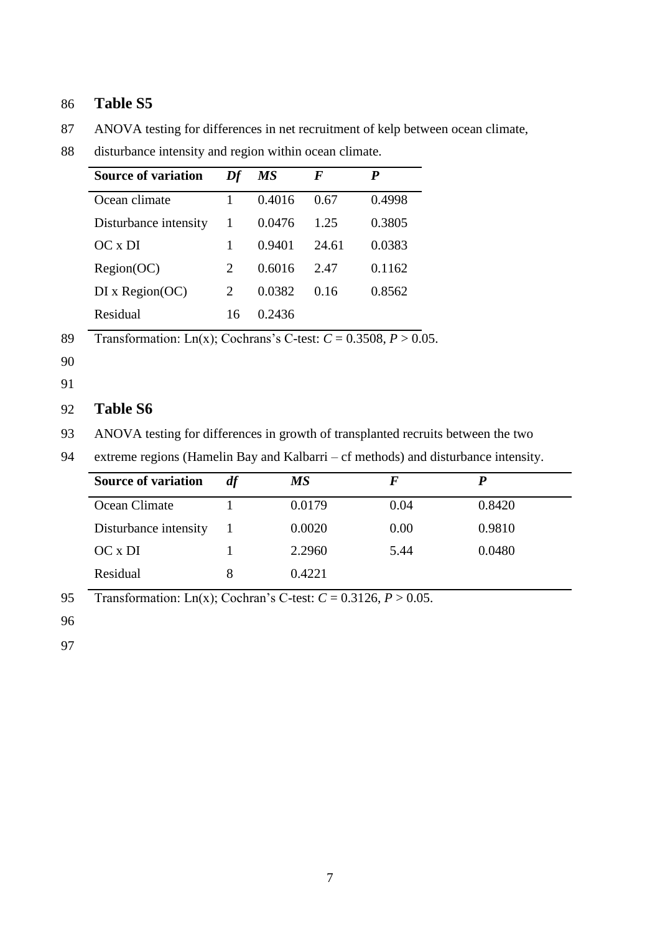## 86 **Table S5**

87 ANOVA testing for differences in net recruitment of kelp between ocean climate,

| <b>Source of variation</b> | Df | <b>MS</b> | F     | P      |
|----------------------------|----|-----------|-------|--------|
| Ocean climate              |    | 0.4016    | 0.67  | 0.4998 |
| Disturbance intensity      |    | 0.0476    | 1.25  | 0.3805 |
| $OC \times DI$             |    | 0.9401    | 24.61 | 0.0383 |
| Region(OC)                 | 2  | 0.6016    | 2.47  | 0.1162 |
| DI x Region(OC)            | 2  | 0.0382    | 0.16  | 0.8562 |
| Residual                   | 16 | 0.2436    |       |        |

88 disturbance intensity and region within ocean climate.

90

#### 91

## 92 **Table S6**

93 ANOVA testing for differences in growth of transplanted recruits between the two

94 extreme regions (Hamelin Bay and Kalbarri – cf methods) and disturbance intensity.

| <b>Source of variation</b> |    | МS     |      |        |
|----------------------------|----|--------|------|--------|
| Ocean Climate              |    | 0.0179 | 0.04 | 0.8420 |
| Disturbance intensity      | -1 | 0.0020 | 0.00 | 0.9810 |
| OC x DI                    |    | 2.2960 | 5.44 | 0.0480 |
| Residual                   | 8  | 0.4221 |      |        |

95 Transformation: Ln(x); Cochran's C-test: *C* = 0.3126, *P* > 0.05.

96